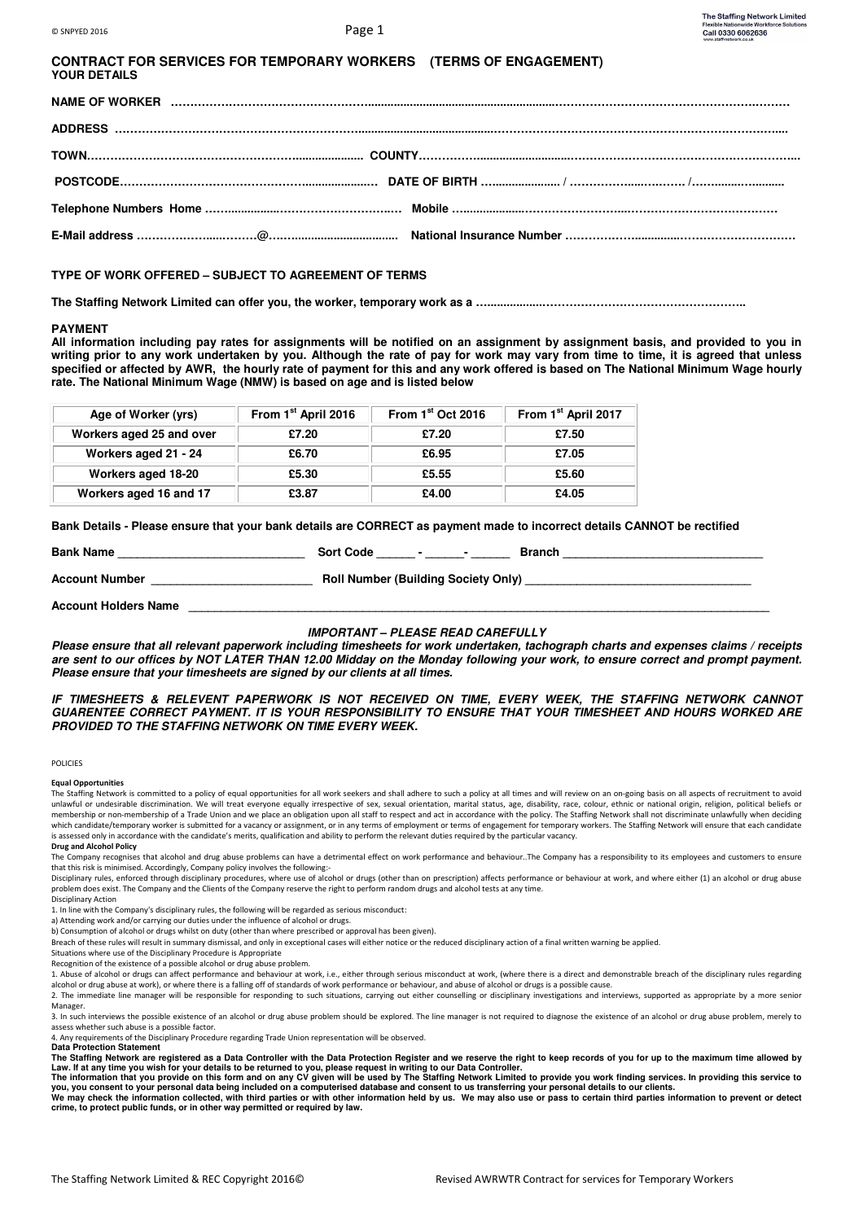| <b>CONTRACT FOR SERVICES FOR TEMPORARY WORKERS (TERMS OF ENGAGEMENT)</b> |  |
|--------------------------------------------------------------------------|--|
| <b>YOUR DETAILS</b>                                                      |  |

# **TYPE OF WORK OFFERED – SUBJECT TO AGREEMENT OF TERMS**

**The Staffing Network Limited can offer you, the worker, temporary work as a ….................……………………………………………..** 

## **PAYMENT**

**All information including pay rates for assignments will be notified on an assignment by assignment basis, and provided to you in writing prior to any work undertaken by you. Although the rate of pay for work may vary from time to time, it is agreed that unless specified or affected by AWR, the hourly rate of payment for this and any work offered is based on The National Minimum Wage hourly rate. The National Minimum Wage (NMW) is based on age and is listed below** 

| Age of Worker (yrs)      | From 1 <sup>st</sup> April 2016 | From 1 <sup>st</sup> Oct 2016 | From 1 <sup>st</sup> April 2017 |
|--------------------------|---------------------------------|-------------------------------|---------------------------------|
| Workers aged 25 and over | £7.20                           | £7.20                         | £7.50                           |
| Workers aged 21 - 24     | £6.70                           | £6.95                         | £7.05                           |
| Workers aged 18-20       | £5.30                           | £5.55                         | £5.60                           |
| Workers aged 16 and 17   | £3.87                           | £4.00                         | £4.05                           |

**Bank Details - Please ensure that your bank details are CORRECT as payment made to incorrect details CANNOT be rectified** 

| <b>Bank Name</b>      | <b>Sort Code</b>                           | Branch |
|-----------------------|--------------------------------------------|--------|
| <b>Account Number</b> | <b>Roll Number (Building Society Only)</b> |        |

**Account Holders Name \_\_\_\_\_\_\_\_\_\_\_\_\_\_\_\_\_\_\_\_\_\_\_\_\_\_\_\_\_\_\_\_\_\_\_\_\_\_\_\_\_\_\_\_\_\_\_\_\_\_\_\_\_\_\_\_\_\_\_\_\_\_\_\_\_\_\_\_\_\_\_\_\_\_\_\_\_\_\_\_\_\_\_\_\_\_\_\_\_\_** 

## **IMPORTANT – PLEASE READ CAREFULLY**

**Please ensure that all relevant paperwork including timesheets for work undertaken, tachograph charts and expenses claims / receipts are sent to our offices by NOT LATER THAN 12.00 Midday on the Monday following your work, to ensure correct and prompt payment. Please ensure that your timesheets are signed by our clients at all times.** 

## **IF TIMESHEETS & RELEVENT PAPERWORK IS NOT RECEIVED ON TIME, EVERY WEEK, THE STAFFING NETWORK CANNOT GUARENTEE CORRECT PAYMENT. IT IS YOUR RESPONSIBILITY TO ENSURE THAT YOUR TIMESHEET AND HOURS WORKED ARE PROVIDED TO THE STAFFING NETWORK ON TIME EVERY WEEK.**

#### **POLICIES**

**Equal Opportunities** 

The Staffing Network is committed to a policy of equal opportunities for all work seekers and shall adhere to such a policy at all times and will review on an on-going basis on all aspects of recruitment to avoid unlawful or undesirable discrimination. We will treat everyone equally irrespective of sex, sexual orientation, marital status, age, disability, race, colour, ethnic or national origin, religion, political beliefs or membership or non-membership of a Trade Union and we place an obligation upon all staff to respect and act in accordance with the policy. The Staffing Network shall not discriminate unlawfully when deciding which candidate/temporary worker is submitted for a vacancy or assignment, or in any terms of employment or terms of engagement for temporary workers. The Staffing Network will ensure that each candidate is assessed only in accordance with the candidate's merits, qualification and ability to perform the relevant duties required by the particular vacancy

# **Drug and Alcohol Policy**

The Company recognises that alcohol and drug abuse problems can have a detrimental effect on work performance and behaviour. The Company has a responsibility to its employees and customers to ensure that this risk is minimised. Accordingly, Company policy involves the following:-

Disciplinary rules, enforced through disciplinary procedures, where use of alcohol or drugs (other than on prescription) affects performance or behaviour at work, and where either (1) an alcohol or drug abuse problem does exist. The Company and the Clients of the Company reserve the right to perform random drugs and alcohol tests at any time. Disciplinary Action

1. In line with the Company's disciplinary rules, the following will be regarded as serious misconduct:

a) Attending work and/or carrying our duties under the influence of alcohol or drugs.

b) Consumption of alcohol or drugs whilst on duty (other than where prescribed or approval has been given).

Breach of these rules will result in summary dismissal, and only in exceptional cases will either notice or the reduced disciplinary action of a final written warning be applied.

Situations where use of the Disciplinary Procedure is Appropriate

Recognition of the existence of a possible alcohol or drug abuse problem.

1. Abuse of alcohol or drugs can affect performance and behaviour at work, i.e., either through serious misconduct at work, (where there is a direct and demonstrable breach of the disciplinary rules regarding alcohol or drug abuse at work), or where there is a falling off of standards of work performance or behaviour, and abuse of alcohol or drugs is a possible cause.

2. The immediate line manager will be responsible for responding to such situations, carrying out either counselling or disciplinary investigations and interviews, supported as appropriate by a more senior Manager.

3. In such interviews the possible existence of an alcohol or drug abuse problem should be explored. The line manager is not required to diagnose the existence of an alcohol or drug abuse problem, merely to assess whether such abuse is a possible factor.

4. Any requirements of the Disciplinary Procedure regarding Trade Union representation will be observed. **Data Protection Statement** 

**The Staffing Network are registered as a Data Controller with the Data Protection Register and we reserve the right to keep records of you for up to the maximum time allowed by** 

Law. If at any time you wish for your details to be returned to you, please request in writing to our Data Controller.<br>The information that you provide on this form and on any CV given will be used by The Staffing Network **crime, to protect public funds, or in other way permitted or required by law.**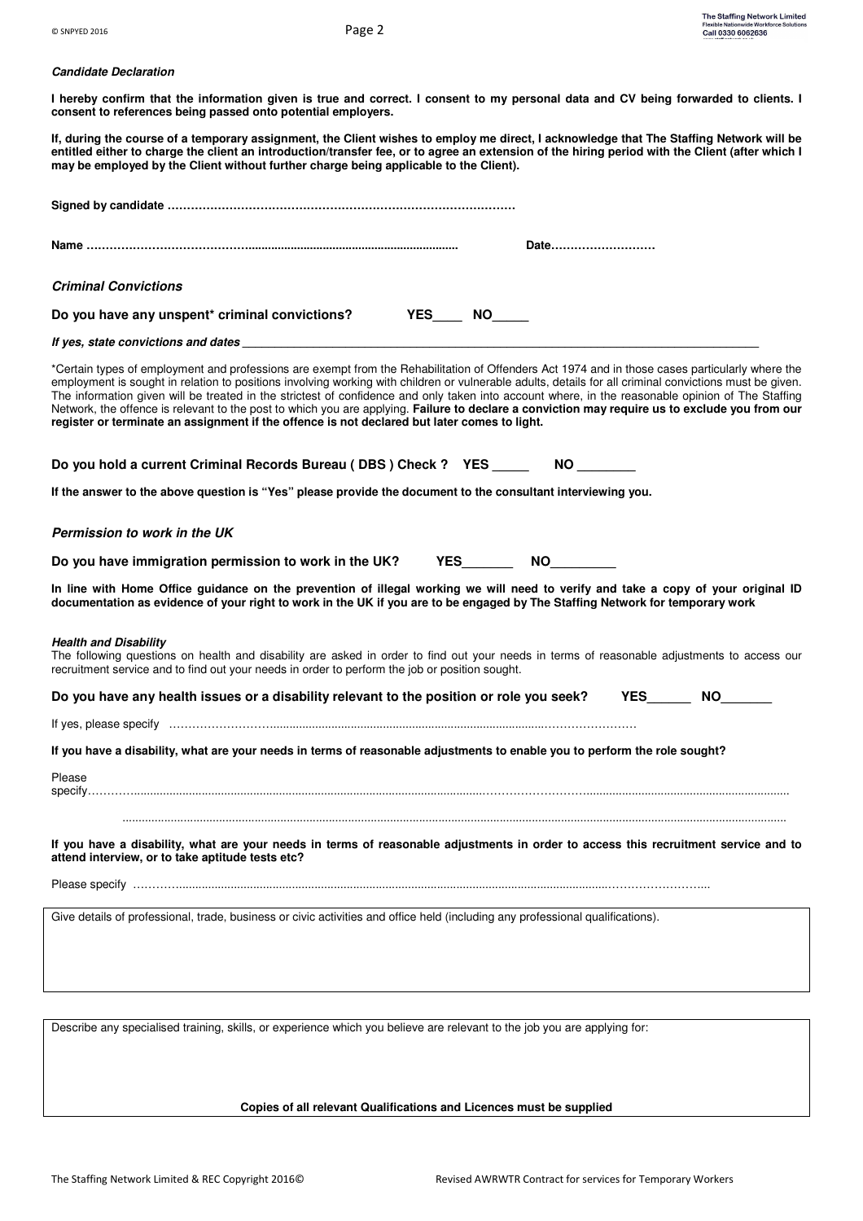# **Candidate Declaration**

**I hereby confirm that the information given is true and correct. I consent to my personal data and CV being forwarded to clients. I consent to references being passed onto potential employers.** 

**If, during the course of a temporary assignment, the Client wishes to employ me direct, I acknowledge that The Staffing Network will be entitled either to charge the client an introduction/transfer fee, or to agree an extension of the hiring period with the Client (after which I may be employed by the Client without further charge being applicable to the Client).** 

| Date                                                                                                                                                                                                                                                                                                                                                                                                                                                                                                                                                                                                                                                                                                              |
|-------------------------------------------------------------------------------------------------------------------------------------------------------------------------------------------------------------------------------------------------------------------------------------------------------------------------------------------------------------------------------------------------------------------------------------------------------------------------------------------------------------------------------------------------------------------------------------------------------------------------------------------------------------------------------------------------------------------|
| <b>Criminal Convictions</b>                                                                                                                                                                                                                                                                                                                                                                                                                                                                                                                                                                                                                                                                                       |
| Do you have any unspent* criminal convictions? YES_____ NO_____                                                                                                                                                                                                                                                                                                                                                                                                                                                                                                                                                                                                                                                   |
|                                                                                                                                                                                                                                                                                                                                                                                                                                                                                                                                                                                                                                                                                                                   |
| *Certain types of employment and professions are exempt from the Rehabilitation of Offenders Act 1974 and in those cases particularly where the<br>employment is sought in relation to positions involving working with children or vulnerable adults, details for all criminal convictions must be given.<br>The information given will be treated in the strictest of confidence and only taken into account where, in the reasonable opinion of The Staffing<br>Network, the offence is relevant to the post to which you are applying. Failure to declare a conviction may require us to exclude you from our<br>register or terminate an assignment if the offence is not declared but later comes to light. |
| Do you hold a current Criminal Records Bureau (DBS) Check ? YES ________ NO ______                                                                                                                                                                                                                                                                                                                                                                                                                                                                                                                                                                                                                                |
| If the answer to the above question is "Yes" please provide the document to the consultant interviewing you.                                                                                                                                                                                                                                                                                                                                                                                                                                                                                                                                                                                                      |
| Permission to work in the UK                                                                                                                                                                                                                                                                                                                                                                                                                                                                                                                                                                                                                                                                                      |
| Do you have immigration permission to work in the UK? YES__________ NO                                                                                                                                                                                                                                                                                                                                                                                                                                                                                                                                                                                                                                            |
| In line with Home Office guidance on the prevention of illegal working we will need to verify and take a copy of your original ID<br>documentation as evidence of your right to work in the UK if you are to be engaged by The Staffing Network for temporary work                                                                                                                                                                                                                                                                                                                                                                                                                                                |
| Health and Disability<br>The following questions on health and disability are asked in order to find out your needs in terms of reasonable adjustments to access our<br>recruitment service and to find out your needs in order to perform the job or position sought.                                                                                                                                                                                                                                                                                                                                                                                                                                            |
| Do you have any health issues or a disability relevant to the position or role you seek? YES NO                                                                                                                                                                                                                                                                                                                                                                                                                                                                                                                                                                                                                   |
|                                                                                                                                                                                                                                                                                                                                                                                                                                                                                                                                                                                                                                                                                                                   |
| If you have a disability, what are your needs in terms of reasonable adjustments to enable you to perform the role sought?                                                                                                                                                                                                                                                                                                                                                                                                                                                                                                                                                                                        |
| Please                                                                                                                                                                                                                                                                                                                                                                                                                                                                                                                                                                                                                                                                                                            |
| If you have a disability, what are your needs in terms of reasonable adjustments in order to access this recruitment service and to<br>attend interview, or to take aptitude tests etc?                                                                                                                                                                                                                                                                                                                                                                                                                                                                                                                           |
|                                                                                                                                                                                                                                                                                                                                                                                                                                                                                                                                                                                                                                                                                                                   |
| Give details of professional, trade, business or civic activities and office held (including any professional qualifications).                                                                                                                                                                                                                                                                                                                                                                                                                                                                                                                                                                                    |
|                                                                                                                                                                                                                                                                                                                                                                                                                                                                                                                                                                                                                                                                                                                   |
| Describe any specialised training, skills, or experience which you believe are relevant to the job you are applying for:                                                                                                                                                                                                                                                                                                                                                                                                                                                                                                                                                                                          |

**Copies of all relevant Qualifications and Licences must be supplied**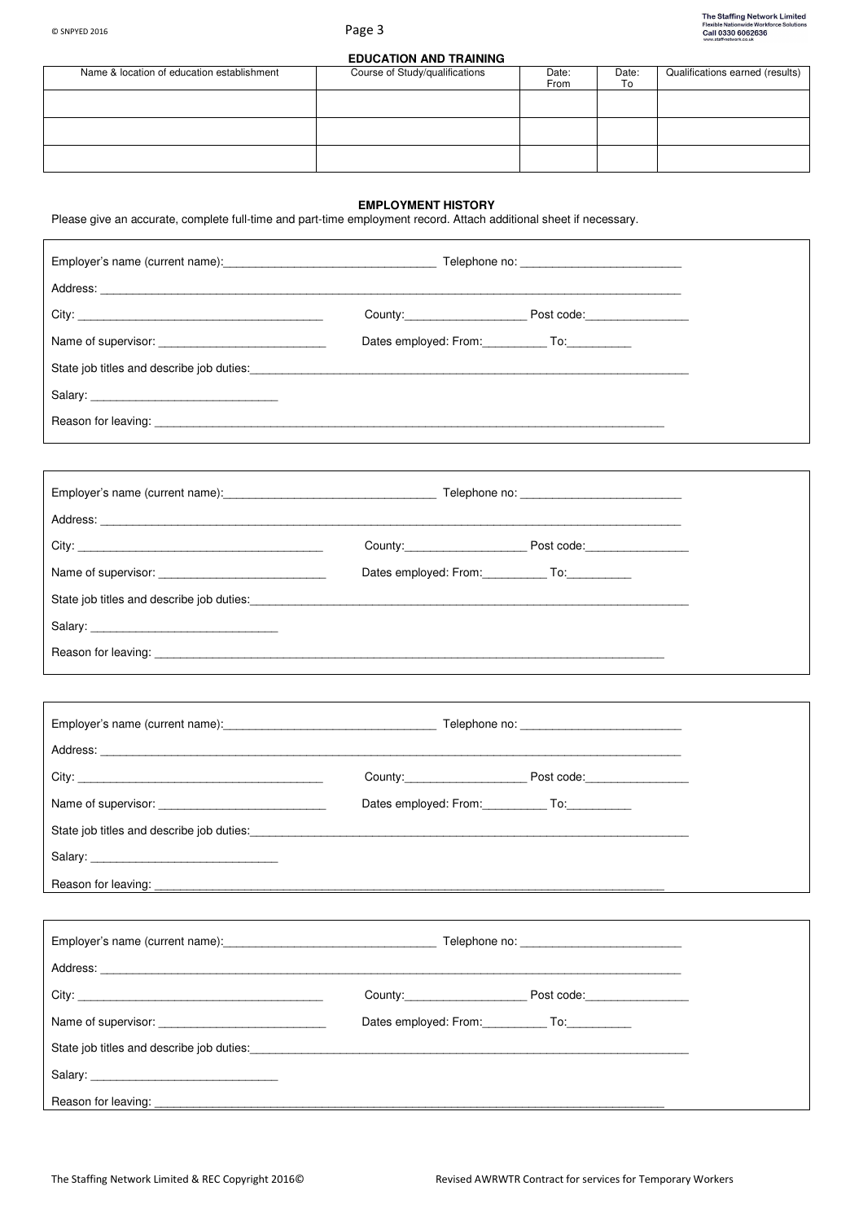# **EDUCATION AND TRAINING**

| Name & location of education establishment | Course of Study/qualifications | Date:<br>From | Date:<br>To | Qualifications earned (results) |
|--------------------------------------------|--------------------------------|---------------|-------------|---------------------------------|
|                                            |                                |               |             |                                 |
|                                            |                                |               |             |                                 |
|                                            |                                |               |             |                                 |

# **EMPLOYMENT HISTORY**

Please give an accurate, complete full-time and part-time employment record. Attach additional sheet if necessary.

|                                                                                                                                                                                                                                | Dates employed: From: ____________ To: ___________                                                                                                                                                                             |  |
|--------------------------------------------------------------------------------------------------------------------------------------------------------------------------------------------------------------------------------|--------------------------------------------------------------------------------------------------------------------------------------------------------------------------------------------------------------------------------|--|
|                                                                                                                                                                                                                                |                                                                                                                                                                                                                                |  |
|                                                                                                                                                                                                                                |                                                                                                                                                                                                                                |  |
|                                                                                                                                                                                                                                |                                                                                                                                                                                                                                |  |
|                                                                                                                                                                                                                                |                                                                                                                                                                                                                                |  |
|                                                                                                                                                                                                                                |                                                                                                                                                                                                                                |  |
|                                                                                                                                                                                                                                |                                                                                                                                                                                                                                |  |
| City: the contract of the contract of the contract of the contract of the contract of the contract of the contract of the contract of the contract of the contract of the contract of the contract of the contract of the cont | County: Post code:                                                                                                                                                                                                             |  |
| Name of supervisor: Name of supervisor:                                                                                                                                                                                        | Dates employed: From: To: To:                                                                                                                                                                                                  |  |
|                                                                                                                                                                                                                                | State job titles and describe job duties: State of the state of the state of the state of the state of the state of the state of the state of the state of the state of the state of the state of the state of the state of th |  |
| Salary: Salary:                                                                                                                                                                                                                |                                                                                                                                                                                                                                |  |
|                                                                                                                                                                                                                                | Reason for leaving: the contract of the contract of the contract of the contract of the contract of the contract of the contract of the contract of the contract of the contract of the contract of the contract of the contra |  |
|                                                                                                                                                                                                                                |                                                                                                                                                                                                                                |  |
|                                                                                                                                                                                                                                |                                                                                                                                                                                                                                |  |
|                                                                                                                                                                                                                                |                                                                                                                                                                                                                                |  |
|                                                                                                                                                                                                                                |                                                                                                                                                                                                                                |  |
|                                                                                                                                                                                                                                | Dates employed: From: To: To:                                                                                                                                                                                                  |  |
|                                                                                                                                                                                                                                |                                                                                                                                                                                                                                |  |
| Salary: Salary:                                                                                                                                                                                                                |                                                                                                                                                                                                                                |  |
| Reason for leaving:                                                                                                                                                                                                            |                                                                                                                                                                                                                                |  |
|                                                                                                                                                                                                                                |                                                                                                                                                                                                                                |  |
|                                                                                                                                                                                                                                |                                                                                                                                                                                                                                |  |
|                                                                                                                                                                                                                                |                                                                                                                                                                                                                                |  |
|                                                                                                                                                                                                                                |                                                                                                                                                                                                                                |  |
|                                                                                                                                                                                                                                | Dates employed: From: To: To:                                                                                                                                                                                                  |  |
|                                                                                                                                                                                                                                |                                                                                                                                                                                                                                |  |
|                                                                                                                                                                                                                                |                                                                                                                                                                                                                                |  |
|                                                                                                                                                                                                                                |                                                                                                                                                                                                                                |  |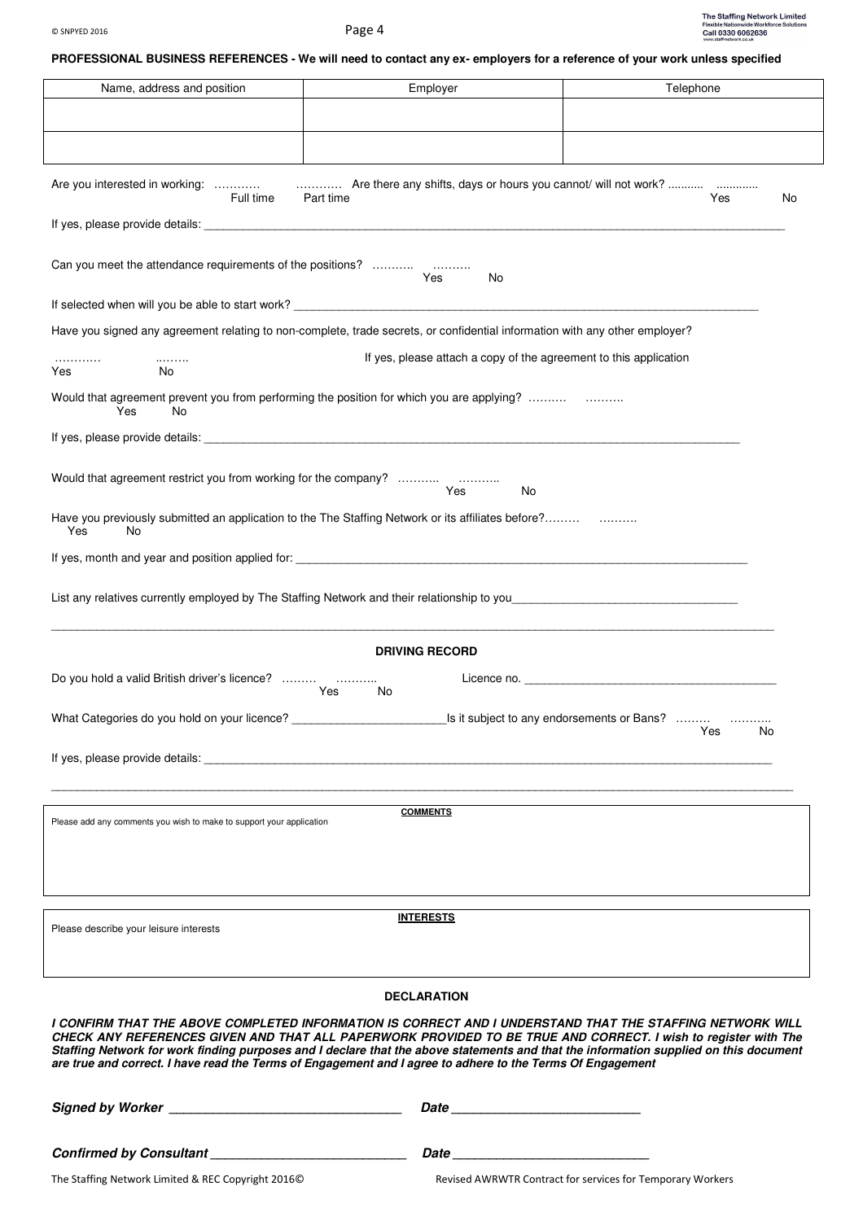# **PROFESSIONAL BUSINESS REFERENCES - We will need to contact any ex- employers for a reference of your work unless specified**

| Name, address and position                                           | Employer                                                                                                                                                                                                                                                                                                                                                              | Telephone                                                                                                                  |
|----------------------------------------------------------------------|-----------------------------------------------------------------------------------------------------------------------------------------------------------------------------------------------------------------------------------------------------------------------------------------------------------------------------------------------------------------------|----------------------------------------------------------------------------------------------------------------------------|
|                                                                      |                                                                                                                                                                                                                                                                                                                                                                       |                                                                                                                            |
|                                                                      |                                                                                                                                                                                                                                                                                                                                                                       |                                                                                                                            |
|                                                                      |                                                                                                                                                                                                                                                                                                                                                                       |                                                                                                                            |
| Are you interested in working:<br>Full time                          | Are there any shifts, days or hours you cannot/ will not work?<br>Part time                                                                                                                                                                                                                                                                                           | Yes<br>No                                                                                                                  |
|                                                                      |                                                                                                                                                                                                                                                                                                                                                                       |                                                                                                                            |
|                                                                      |                                                                                                                                                                                                                                                                                                                                                                       |                                                                                                                            |
|                                                                      | Yes<br>No                                                                                                                                                                                                                                                                                                                                                             |                                                                                                                            |
|                                                                      |                                                                                                                                                                                                                                                                                                                                                                       |                                                                                                                            |
|                                                                      | Have you signed any agreement relating to non-complete, trade secrets, or confidential information with any other employer?                                                                                                                                                                                                                                           |                                                                                                                            |
| .<br>.<br>Yes<br>No                                                  | If yes, please attach a copy of the agreement to this application                                                                                                                                                                                                                                                                                                     |                                                                                                                            |
|                                                                      | Would that agreement prevent you from performing the position for which you are applying?                                                                                                                                                                                                                                                                             |                                                                                                                            |
| Yes<br>No                                                            |                                                                                                                                                                                                                                                                                                                                                                       |                                                                                                                            |
|                                                                      |                                                                                                                                                                                                                                                                                                                                                                       |                                                                                                                            |
| Would that agreement restrict you from working for the company?      |                                                                                                                                                                                                                                                                                                                                                                       |                                                                                                                            |
|                                                                      | Yes.<br>No                                                                                                                                                                                                                                                                                                                                                            |                                                                                                                            |
| Yes<br>No                                                            | Have you previously submitted an application to the The Staffing Network or its affiliates before?                                                                                                                                                                                                                                                                    |                                                                                                                            |
|                                                                      |                                                                                                                                                                                                                                                                                                                                                                       |                                                                                                                            |
|                                                                      |                                                                                                                                                                                                                                                                                                                                                                       |                                                                                                                            |
|                                                                      |                                                                                                                                                                                                                                                                                                                                                                       |                                                                                                                            |
|                                                                      |                                                                                                                                                                                                                                                                                                                                                                       |                                                                                                                            |
|                                                                      | <b>DRIVING RECORD</b>                                                                                                                                                                                                                                                                                                                                                 |                                                                                                                            |
| Do you hold a valid British driver's licence?                        | Yes<br>No                                                                                                                                                                                                                                                                                                                                                             |                                                                                                                            |
|                                                                      |                                                                                                                                                                                                                                                                                                                                                                       |                                                                                                                            |
|                                                                      |                                                                                                                                                                                                                                                                                                                                                                       | <b>Example Street Street Street Street Street Street Street Street Street Street Street Street Street Street Str</b><br>No |
|                                                                      | If yes, please provide details: example and a series of the series of the series of the series of the series of the series of the series of the series of the series of the series of the series of the series of the series o                                                                                                                                        |                                                                                                                            |
|                                                                      |                                                                                                                                                                                                                                                                                                                                                                       |                                                                                                                            |
| Please add any comments you wish to make to support your application | <b>COMMENTS</b>                                                                                                                                                                                                                                                                                                                                                       |                                                                                                                            |
|                                                                      |                                                                                                                                                                                                                                                                                                                                                                       |                                                                                                                            |
|                                                                      |                                                                                                                                                                                                                                                                                                                                                                       |                                                                                                                            |
|                                                                      |                                                                                                                                                                                                                                                                                                                                                                       |                                                                                                                            |
| Please describe your leisure interests                               | <b>INTERESTS</b>                                                                                                                                                                                                                                                                                                                                                      |                                                                                                                            |
|                                                                      |                                                                                                                                                                                                                                                                                                                                                                       |                                                                                                                            |
|                                                                      | <b>DECLARATION</b>                                                                                                                                                                                                                                                                                                                                                    |                                                                                                                            |
|                                                                      | I CONFIRM THAT THE ABOVE COMPLETED INFORMATION IS CORRECT AND I UNDERSTAND THAT THE STAFFING NETWORK WILL                                                                                                                                                                                                                                                             |                                                                                                                            |
|                                                                      | CHECK ANY REFERENCES GIVEN AND THAT ALL PAPERWORK PROVIDED TO BE TRUE AND CORRECT. I wish to register with The<br>Staffing Network for work finding purposes and I declare that the above statements and that the information supplied on this document<br>are true and correct. I have read the Terms of Engagement and I agree to adhere to the Terms Of Engagement |                                                                                                                            |
|                                                                      |                                                                                                                                                                                                                                                                                                                                                                       |                                                                                                                            |
|                                                                      |                                                                                                                                                                                                                                                                                                                                                                       |                                                                                                                            |
|                                                                      |                                                                                                                                                                                                                                                                                                                                                                       |                                                                                                                            |
| The Staffing Network Limited & REC Copyright 2016©                   |                                                                                                                                                                                                                                                                                                                                                                       | Revised AWRWTR Contract for services for Temporary Workers                                                                 |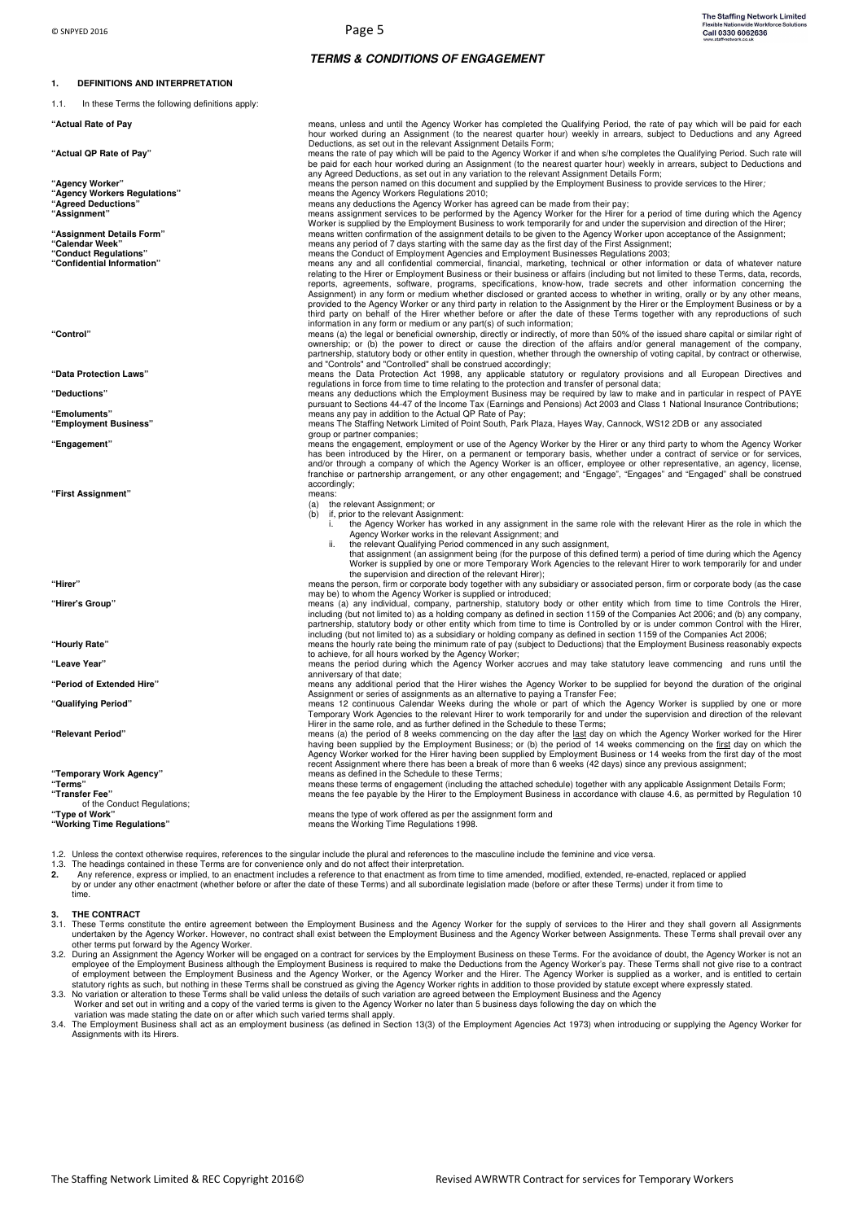**1. DEFINITIONS AND INTERPRETATION** 

# **TERMS & CONDITIONS OF ENGAGEMENT**

| 1.1.<br>In these Terms the following definitions apply:                                                     |                                                                                                                                                                                                                                                                                                                                                               |
|-------------------------------------------------------------------------------------------------------------|---------------------------------------------------------------------------------------------------------------------------------------------------------------------------------------------------------------------------------------------------------------------------------------------------------------------------------------------------------------|
| "Actual Rate of Pay                                                                                         | means, unless and until the Agency Worker has completed the Qualifying Period, the rate of pay which will be paid for each<br>hour worked during an Assignment (to the nearest quarter hour) weekly in arrears, subject to Deductions and any Agreed<br>Deductions, as set out in the relevant Assignment Details Form;                                       |
| "Actual QP Rate of Pay"                                                                                     | means the rate of pay which will be paid to the Agency Worker if and when s/he completes the Qualifying Period. Such rate will<br>be paid for each hour worked during an Assignment (to the nearest quarter hour) weekly in arrears, subject to Deductions and<br>any Agreed Deductions, as set out in any variation to the relevant Assignment Details Form; |
| "Agency Worker"                                                                                             | means the person named on this document and supplied by the Employment Business to provide services to the Hirer;                                                                                                                                                                                                                                             |
| "Agency Workers Regulations"<br>"Agreed Deductions"                                                         | means the Agency Workers Regulations 2010;<br>means any deductions the Agency Worker has agreed can be made from their pay;                                                                                                                                                                                                                                   |
| "Assignment"                                                                                                | means assignment services to be performed by the Agency Worker for the Hirer for a period of time during which the Agency                                                                                                                                                                                                                                     |
|                                                                                                             | Worker is supplied by the Employment Business to work temporarily for and under the supervision and direction of the Hirer;                                                                                                                                                                                                                                   |
| "Assignment Details Form"<br>"Calendar Week"                                                                | means written confirmation of the assignment details to be given to the Agency Worker upon acceptance of the Assignment;<br>means any period of 7 days starting with the same day as the first day of the First Assignment;                                                                                                                                   |
| "Conduct Regulations"                                                                                       | means the Conduct of Employment Agencies and Employment Businesses Regulations 2003;                                                                                                                                                                                                                                                                          |
| "Confidential Information"                                                                                  | means any and all confidential commercial, financial, marketing, technical or other information or data of whatever nature                                                                                                                                                                                                                                    |
|                                                                                                             | relating to the Hirer or Employment Business or their business or affairs (including but not limited to these Terms, data, records,<br>reports, agreements, software, programs, specifications, know-how, trade secrets and other information concerning the                                                                                                  |
|                                                                                                             | Assignment) in any form or medium whether disclosed or granted access to whether in writing, orally or by any other means,                                                                                                                                                                                                                                    |
|                                                                                                             | provided to the Agency Worker or any third party in relation to the Assignment by the Hirer or the Employment Business or by a                                                                                                                                                                                                                                |
|                                                                                                             | third party on behalf of the Hirer whether before or after the date of these Terms together with any reproductions of such<br>information in any form or medium or any part(s) of such information;                                                                                                                                                           |
| "Control'                                                                                                   | means (a) the legal or beneficial ownership, directly or indirectly, of more than 50% of the issued share capital or similar right of                                                                                                                                                                                                                         |
|                                                                                                             | ownership; or (b) the power to direct or cause the direction of the affairs and/or general management of the company,                                                                                                                                                                                                                                         |
|                                                                                                             | partnership, statutory body or other entity in question, whether through the ownership of voting capital, by contract or otherwise,<br>and "Controls" and "Controlled" shall be construed accordingly;                                                                                                                                                        |
| "Data Protection Laws"                                                                                      | means the Data Protection Act 1998, any applicable statutory or regulatory provisions and all European Directives and                                                                                                                                                                                                                                         |
|                                                                                                             | regulations in force from time to time relating to the protection and transfer of personal data;                                                                                                                                                                                                                                                              |
| "Deductions"                                                                                                | means any deductions which the Employment Business may be required by law to make and in particular in respect of PAYE<br>pursuant to Sections 44-47 of the Income Tax (Earnings and Pensions) Act 2003 and Class 1 National Insurance Contributions;                                                                                                         |
| "Emoluments"                                                                                                | means any pay in addition to the Actual QP Rate of Pay;                                                                                                                                                                                                                                                                                                       |
| "Employment Business"                                                                                       | means The Staffing Network Limited of Point South, Park Plaza, Hayes Way, Cannock, WS12 2DB or any associated                                                                                                                                                                                                                                                 |
| "Engagement"                                                                                                | group or partner companies;<br>means the engagement, employment or use of the Agency Worker by the Hirer or any third party to whom the Agency Worker                                                                                                                                                                                                         |
|                                                                                                             | has been introduced by the Hirer, on a permanent or temporary basis, whether under a contract of service or for services,                                                                                                                                                                                                                                     |
|                                                                                                             | and/or through a company of which the Agency Worker is an officer, employee or other representative, an agency, license,                                                                                                                                                                                                                                      |
|                                                                                                             | franchise or partnership arrangement, or any other engagement; and "Engage", "Engages" and "Engaged" shall be construed<br>accordingly;                                                                                                                                                                                                                       |
| "First Assignment"                                                                                          | means:                                                                                                                                                                                                                                                                                                                                                        |
|                                                                                                             | (a) the relevant Assignment; or<br>if, prior to the relevant Assignment:<br>(b)                                                                                                                                                                                                                                                                               |
|                                                                                                             | the Agency Worker has worked in any assignment in the same role with the relevant Hirer as the role in which the                                                                                                                                                                                                                                              |
|                                                                                                             | Agency Worker works in the relevant Assignment; and                                                                                                                                                                                                                                                                                                           |
|                                                                                                             | the relevant Qualifying Period commenced in any such assignment,<br>ii.<br>that assignment (an assignment being (for the purpose of this defined term) a period of time during which the Agency                                                                                                                                                               |
|                                                                                                             | Worker is supplied by one or more Temporary Work Agencies to the relevant Hirer to work temporarily for and under                                                                                                                                                                                                                                             |
|                                                                                                             | the supervision and direction of the relevant Hirer);                                                                                                                                                                                                                                                                                                         |
| "Hirer"                                                                                                     | means the person, firm or corporate body together with any subsidiary or associated person, firm or corporate body (as the case<br>may be) to whom the Agency Worker is supplied or introduced;                                                                                                                                                               |
| "Hirer's Group"                                                                                             | means (a) any individual, company, partnership, statutory body or other entity which from time to time Controls the Hirer,                                                                                                                                                                                                                                    |
|                                                                                                             | including (but not limited to) as a holding company as defined in section 1159 of the Companies Act 2006; and (b) any company,                                                                                                                                                                                                                                |
|                                                                                                             | partnership, statutory body or other entity which from time to time is Controlled by or is under common Control with the Hirer,<br>including (but not limited to) as a subsidiary or holding company as defined in section 1159 of the Companies Act 2006;                                                                                                    |
| "Hourly Rate"                                                                                               | means the hourly rate being the minimum rate of pay (subject to Deductions) that the Employment Business reasonably expects                                                                                                                                                                                                                                   |
| "Leave Year"                                                                                                | to achieve, for all hours worked by the Agency Worker;<br>means the period during which the Agency Worker accrues and may take statutory leave commencing and runs until the                                                                                                                                                                                  |
|                                                                                                             | anniversary of that date;                                                                                                                                                                                                                                                                                                                                     |
| "Period of Extended Hire"                                                                                   | means any additional period that the Hirer wishes the Agency Worker to be supplied for beyond the duration of the original                                                                                                                                                                                                                                    |
| "Qualifying Period"                                                                                         | Assignment or series of assignments as an alternative to paying a Transfer Fee:<br>means 12 continuous Calendar Weeks during the whole or part of which the Agency Worker is supplied by one or more                                                                                                                                                          |
|                                                                                                             | Temporary Work Agencies to the relevant Hirer to work temporarily for and under the supervision and direction of the relevant                                                                                                                                                                                                                                 |
|                                                                                                             | Hirer in the same role, and as further defined in the Schedule to these Terms;                                                                                                                                                                                                                                                                                |
| "Relevant Period"                                                                                           | means (a) the period of 8 weeks commencing on the day after the last day on which the Agency Worker worked for the Hirer<br>having been supplied by the Employment Business; or (b) the period of 14 weeks commencing on the first day on which the                                                                                                           |
|                                                                                                             | Agency Worker worked for the Hirer having been supplied by Employment Business or 14 weeks from the first day of the most                                                                                                                                                                                                                                     |
|                                                                                                             | recent Assignment where there has been a break of more than 6 weeks (42 days) since any previous assignment;                                                                                                                                                                                                                                                  |
| "Temporary Work Agency"<br>"Terms"                                                                          | means as defined in the Schedule to these Terms;<br>means these terms of engagement (including the attached schedule) together with any applicable Assignment Details Form;                                                                                                                                                                                   |
| "Transfer Fee"                                                                                              | means the fee payable by the Hirer to the Employment Business in accordance with clause 4.6, as permitted by Regulation 10                                                                                                                                                                                                                                    |
| of the Conduct Regulations;<br>"Type of Work"                                                               | means the type of work offered as per the assignment form and                                                                                                                                                                                                                                                                                                 |
| "Working Time Regulations"                                                                                  | means the Working Time Regulations 1998.                                                                                                                                                                                                                                                                                                                      |
|                                                                                                             |                                                                                                                                                                                                                                                                                                                                                               |
|                                                                                                             | 1.2. Unless the context otherwise requires, references to the singular include the plural and references to the masculine include the feminine and vice versa.                                                                                                                                                                                                |
| 1.3. The headings contained in these Terms are for convenience only and do not affect their interpretation. |                                                                                                                                                                                                                                                                                                                                                               |
|                                                                                                             |                                                                                                                                                                                                                                                                                                                                                               |

2. Any reference, express or implied, to an enactment includes a reference to that enactment as from time to time amended, modified, extended, re-enacted, replaced or applied<br>by or under any other enactment (whether before time.

**3. THE CONTRACT** 

3.1. These Terms constitute the entire agreement between the Employment Business and the Agency Worker for the supply of services to the Hirer and they shall govern all Assignments undertaken by the Agency Worker between A

3.2. During an Assignment the Agency Worker will be engaged on a contract for services by the Employment Business on these Terms. For the avoidance of doubt, the Agency Worker is not an<br>employment Business atthough the Emp

3.3. No variation or alteration to these Terms shall be valid unless the details of such variation are agreed between the Employment Business and the Agency<br>Vorker and set out in writing and a copy of the varied terms is g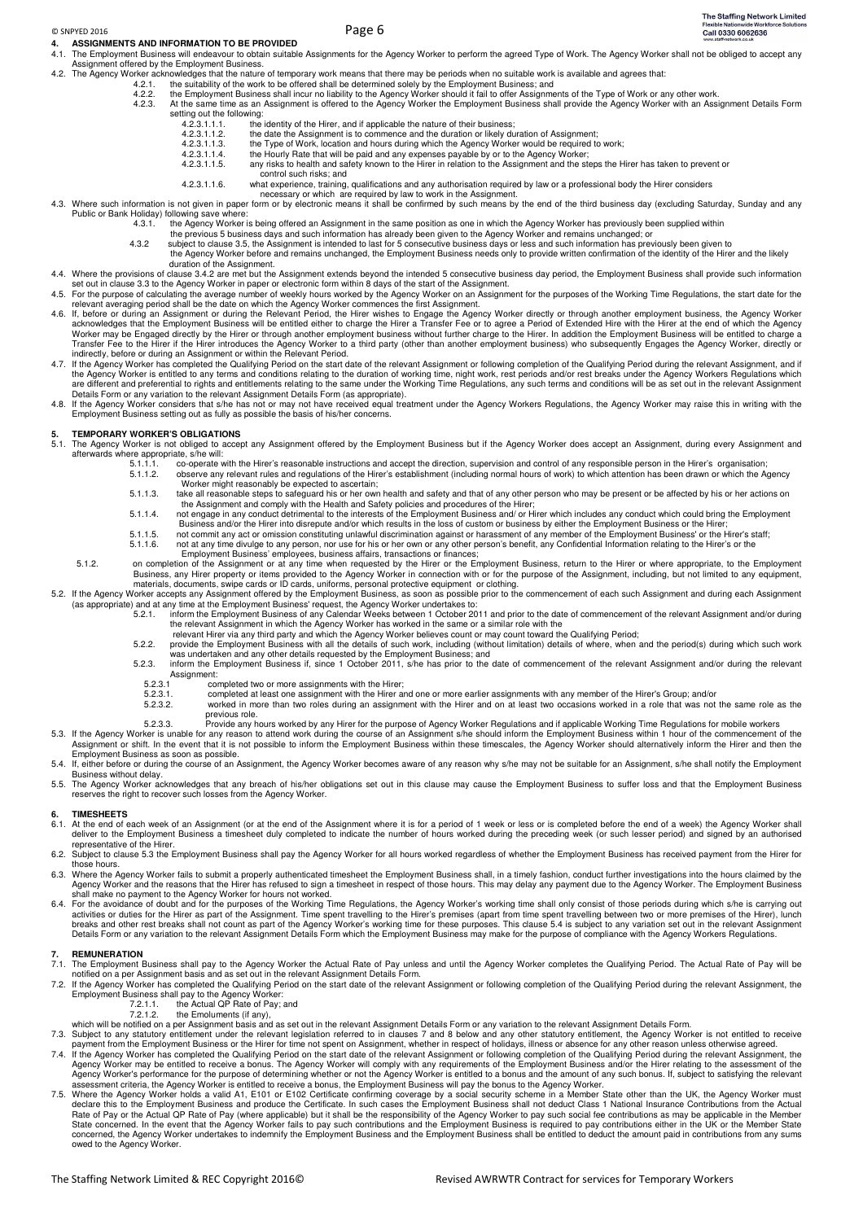# © SNPYED 2016 Page 6

**4. ASSIGNMENTS AND INFORMATION TO BE PROVIDED**<br>4.1 The Employment Business will endeavour to obtain suitable The Employment Business will endeavour to obtain suitable Assignments for the Agency Worker to perform the agreed Type of Work. The Agency Worker shall not be obliged to accept any

- Assignment offered by the Employment Business. 4.2. The Agency Worker acknowledges that the nature of temporary work means that there may be periods when no suitable work is available and agrees that:
	-
	- 4.2.1. the suitability of the work to be offered shall be determined solely by the Employment Business; and<br>4.2.2. the Employment Business shall incur no liability to the Agency Worker should it fail to offer Assignments
	- 4.2.3. At the same time as an Assignment is offered to the Agency Worker the Employment Business shall provide the Agency Worker with an Assignment Details Form setting out the following:<br> $423111$ 
		- 4.2.3.1.1.1. the identity of the Hirer, and if applicable the nature of their business;<br>4.2.3.1.1.2. the date the Assignment is to commence and the duration or likely du
		- 4.2.3.1.1.2. the date the Assignment is to commence and the duration or likely duration of Assignment;<br>4.2.3.1.1.2. the date the Assignment is to commence and the duration or likely duration of Assignment;<br>4.2.3.1.1.3. the
		- 4.2.3.1.1.3. the Type of Work, location and hours during which the Agency Worker would be required to work;<br>4.2.3.1.1.4. the Hourly Rate that will be paid and any expenses payable by or to the Agency Worker;
		- 4.2.3.1.1.4. the Hourly Rate that will be paid and any expenses payable by or to the Agency Worker;<br>4.2.3.1.1.5. any risks to health and safety known to the Hirer in relation to the Assignment and the st
		- any risks to health and safety known to the Hirer in relation to the Assignment and the steps the Hirer has taken to prevent or control such risks; and<br>4.2.3.1.1.6. what experience, training.
			- 4.2.3.1.1.6. what experience, training, qualifications and any authorisation required by law or a professional body the Hirer considers
- necessary or which are required by law to work in the Assignment. 4.3. Where such information is not given in paper form or by electronic means it shall be confirmed by such means by the end of the third business day (excluding Saturday, Sunday and any Public or Bank Holiday) following save where<br>4.3.1. the Agency Worker
	- 4.3.1. the Agency Worker is being offered an Assignment in the same position as one in which the Agency Worker has previously been supplied within
- the previous 5 business days and such information has already been given to the Agency Worker and remains unchanged; or<br>4.3.2 subject to clause 3.5, the Assignment is intended to last for 5 consecutive business days or les
	- the Agency Worker before and remains unchanged, the Employment Business needs only to provide written confirmation of the identity of the Hirer and the likely duration of the Assignment.
- 4.4. Where the provisions of clause 3.4.2 are met but the Assignment extends beyond the intended 5 consecutive business day period, the Employment Business shall provide such information
- 
- set out in clause 3.3 to the Agency Worker in paper or electronic form within 8 days of the start of the Assignment.<br>4.5. For the purposes of the Working Time Regulations, the start date for the relations, the start date f Transfer Fee to the Hirer if the Hirer introduces the Agency Worker to a third party (other than another employment business) who subsequently Engages the Agency Worker, directly or<br>indirectly, before or during an Assignme
- 4.7. If the Agency Worker has completed the Qualifying Period on the start date of the relevant Assignment or following completion of the Qualifying Period during the relevant Assignment, and if<br>the Agency Worker is entitl
- 4.8. If the Agency Worker considers that s/he has not or may not have received equal treatment under the Agency Workers Regulations, the Agency Worker may raise this in writing with the<br>Employment Business setting out as f

#### **5. TEMPORARY WORKER'S OBLIGATIONS**

- 5.1. The Agency Worker is not obliged to accept any Assignment offered by the Employment Business but if the Agency Worker does accept an Assignment, during every Assignment and afterwards where appropriate, s/he will:
	- 5.1.1.1. co-operate with the Hirer's reasonable instructions and accept the direction, supervision and control of any responsible person in the Hirer's organisation;<br>5.1.1.2 observe any relevant rules and regulations of th 5.1.1.2. observe any relevant rules and regulations of the Hirer's establishment (including normal hours of work) to which attention has been drawn or which the Agency Worker might reasonably be expected to ascertain;
	- 5.1.1.3. take all reasonable steps to safeguard his or her own health and safety and that of any other person who may be present or be affected by his or her actions on the Assignment and comply with the Health and Safety policies and procedures of the Hirer;
	- 5.1.1.4. not engage in any conduct detrimental to the interests of the Employment Business and/ or Hirer which includes any conduct which could bring the Employment<br>Business and/or the Hirer into disrepute and/or which res
	- 5.1.1.6. not at any time divulge to any person, nor use for his or her own or any other person's benefit, any Confidential Information relating to the Hirer's or the Employment Business' employees, business affairs, transactions or finances
- 5.1.2. on completion of the Assignment or at any time when requested by the Hirer or the Employment Business, return to the Hirer or where appropriate, to the Employment<br>Business, any Hirer property or items provided to th
- - (as appropriate) and at any time at the Employment Business' request, the Agency Worker undertakes to:<br>5.2.1. inform the Employment Business of any Calendar Weeks between 1 October 2011 and prior to the date of commencemen
- the relevant Assignment in which the Agency Worker has worked in the same or a similar role with the<br>relevant Hirer via any third party and which the Agency Worker believes count or may count toward the Qualifying Period;<br>
	- was undertaken and any other details requested by the Employment Business; and<br>5.2.3. inform the Employment Business if, since 1 October 2011, s/he has prior to the date of commencement of the relevant Assignment and/or du
	- Assignment:<br>5.2.3.1 co
		- 5.2.3.1 completed two or more assignments with the Hirer;<br>5.2.3.1 completed at least one assignment with the Hirer and
		- 5.2.3.1. completed at least one assignment with the Hirer and one or more earlier assignments with any member of the Hirer's Group; and/or
		- 5.2.3.2. worked in more than two roles during an assignment with the Hirer and on at least two occasions worked in a role that was not the same role as the
	- previous role.<br>5.2.3.3. Provide any hours worked by any Hirer for the purpose of Agency Worker Regulations and if applicable Working Time Regulations for mobile workers
- 5.3. If the Agency Worker is unable for any reason to attend work during the course of an Assignment s/he should inform the Employment Business within 1 hour of the commencement of the<br>Assignment or shift. In the event tha Employment Business as soon as possible.<br>If, either before or during the course of an
- 5.4. If, either before or during the course of an Assignment, the Agency Worker becomes aware of any reason why s/he may not be suitable for an Assignment, s/he shall notify the Employment Business without delay.
- 5.5. The Agency Worker acknowledges that any breach of his/her obligations set out in this clause may cause the Employment Business to suffer loss and that the Employment Business<br>reserves the right to recover such losses

#### **6. TIMESHEETS**

- 6.1. At the end of each week of an Assignment (or at the end of the Assignment where it is for a period of 1 week or less or is completed before the end of a week) the Agency Worker shall<br>deliver to the Employment Business representative of the Hirer.
- 6.2. Subject to clause 5.3 the Employment Business shall pay the Agency Worker for all hours worked regardless of whether the Employment Business has received payment from the Hirer for those hours.
- 6.3. Where the Agency Worker fails to submit a properly authenticated timesheet the Employment Business shall, in a timely fashion, conduct further investigations into the hours claimed by the<br>Agency Worker and the reasons shall make no payment to the Agency Worker for hours not worked.
- 6.4. For the avoidance of doubt and for the purposes of the Working Time Regulations, the Agency Worker's working time shall only consist of those periods during which s/he is carrying out activities or duties for the Ass Details Form or any variation to the relevant Assignment Details Form which the Employment Business may make for the purpose of compliance with the Agency Workers Regulations.

#### **7. REMUNERATION**

- 7.1. The Employment Business shall pay to the Agency Worker the Actual Rate of Pay unless and until the Agency Worker completes the Qualifying Period. The Actual Rate of Pay will be<br>notified on a per Assignment basis and a
- 7.2. If the Agency Worker has completed the Qualifying Period on the start date of the relevant Assignment or following completion of the Qualifying Period during the relevant Assignment, the Employment Business shall pay to the Agency Worker: 7.2.1.1. the Actual QP Rate of Pay; and 7.2.1.2. the Emoluments (if any),
	- -
- 
- 
- which will be notified on a per Assignment basis and as set out in the relevant Assignment Details Form or any variation to the relevant Assignment Details Form<br>T.3. Subject to any statutory entitlement under the relevant
- 7.5. Where the Agency Worker holds a valid A1, E101 or E102 Certificate confirming coverage by a social security scheme in a Member State other than the UK, the Agency Worker must declare this to the Employment Business an owed to the Agency Worker.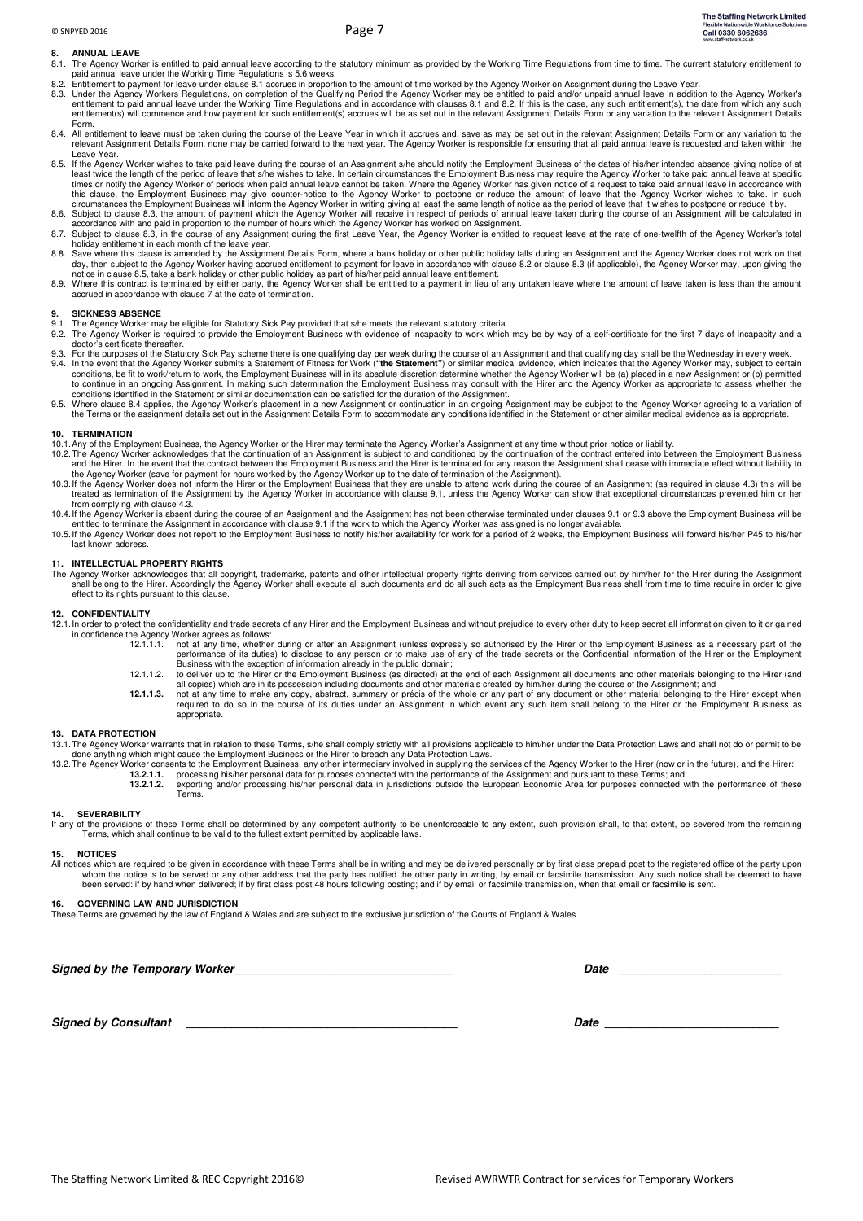# **8. ANNUAL LEAVE**

- 8.1. The Agency Worker is entitled to paid annual leave according to the statutory minimum as provided by the Working Time Regulations from time to time. The current statutory entitlement to<br>paid annual leave under the Wor
- 
- 8.2. Entitlement to payment for leave under clause 8.1 accrues in proportion to the amount of time worked by the Agency Worker on Assignment during the Leave Year.<br>8.3. Under the Agency Workers Regulations, on completion o entitlement to paid annual leave under the Working Time Regulations and in accordance with clauses 8.1 and 8.2. If this is the case, any such entitlement(s), the date from which any such<br>entitlement(s) will commence and ho Form.
- 8.4. All entitlement to leave must be taken during the course of the Leave Year in which it accrues and, save as may be set out in the relevant Assignment Details Form or any variation to the neore of the Leave Year in whi
- Leave Year.<br>8.5. If the Agency Worker wishes to take paid leave during the course of an Assignment s/he should notify the Employment Business of the dates of his/her intended absence giving notice of at least wice of an un
- this clause, the Employment Business may give counter-notice to the Agency Worker to postpone or reduce the amount of leave that the Agency Worker wishes to take. In such cricumstances the Employment Business will inform t
- 
- 8.8. Save where this clause is amended by the Assignment Details Form, where a bank holiday or other public holiday falls during an Assignment and the Agency Worker does not work on that<br>day, then subject to the Agency Wor
- notice in clause 8.5, take a bank holiday or other public holiday as part of his/her paid annual leave entitlement.<br>8.9. Where this contract is terminated by either party, the Agency Worker shall be entitled to a payment i

### **9. SICKNESS ABSENCE**

- 
- 9.1. The Agency Worker may be eligible for Statutory Sick Pay provided that s/he meets the relevant statutory criteria.<br>9.2. The Agency Worker is required to provide the Employment Business with evidence of incapacity to w doctor's certificate thereafter.
- 9.3. For the purposes of the Statutory Sick Pay scheme there is one qualifying day per week during the course of an Assignment and that qualifying day shall be the Wednesday in every week.<br>9.4. In the event that the Agency to continue in an ongoing Assignment. In making such determination the Employment Business may consult with the Hirer and the Agency Worker as appropriate to assess whether the<br>conditions identified in the Statement or sim
- 9.5. Where clause 8.4 applies, the Agency Worker's placement in a new Assignment or continuation in an ongoing Assignment may be subject to the Agency Worker agreeing to a variation of<br>the Terms or the assignment details s

### **10. TERMINATION**

- 10.1. Any of the Employment Business, the Agency Worker or the Hirer may terminate the Agency Worker's Assignment at any time without prior notice or liability.
- 10.2. The Agency Worker acknowledges that the continuation of an Assignment is subject to and conditioned by the continuation of the contract entered into between the Employment Business (10.2. The Agency Worker acknowledg
- the Agency Worker (save for payment for hours worked by the Agency Worker up to the date of termination of the Assignment).<br>10.3. If the Agency Worker does not inform the Hirer or the Employment Business that they are unab treated as termination of the Assignment by the Agency Worker in accordance with clause 9.1, unless the Agency Worker can show that exceptional circumstances prevented him or her from complying with clause 4.3.
- 10.4. If the Agency Worker is absent during the course of an Assignment and the Assignment has not been otherwise terminated under clauses 9.1 or 9.3 above the Employment Business will be<br>entitled to terminate the Assignme
- last known address.

### **11. INTELLECTUAL PROPERTY RIGHTS**

The Agency Worker acknowledges that all copyright, trademarks, patents and other intellectual property rights deriving from services carried out by him/her for the Hirer during the Assignment shall belong to the Hirer. Accordingly the Agency Worker shall execute all such documents and do all such acts as the Employment Business shall from time to time require in order to give effect to its rights pursuant to this clause.

#### **12. CONFIDENTIALITY**

- 12.1. In order to protect the confidentiality and trade secrets of any Hirer and the Employment Business and without prejudice to every other duty to keep secret all information given to it or gained in confidence the Agency Worker agrees as follows:<br>in confidence the Agency Worker agrees as follows:
	- 12.1.1.1. not at any time, whether during or after an Assignment (unless expressly so authorised by the Hirer or the Employment Business as a necessary part of the performance of its duties) to disclose to any person or to make use of any of the trade secrets or the Confidential Information of the Hirer or the Employment<br>Business with the exception of information already in the publi
	- to deliver up to the Hirer or the Employment Business (as directed) at the end of each Assignment all documents and other materials belonging to the Hirer (and<br>all copies) which are in its possession including documents an
	- 12.1.1.3. not at any time to make any copy, abstract, summary or précis of the whole or any part of any document or other material belonging to the Hirer except when<br>required to do so in the course of its duties under an A appropriate.

### **13. DATA PROTECTION**

- 13.1. The Agency Worker warrants that in relation to these Terms, s/he shall comply strictly with all provisions applicable to him/her under the Data Protection Laws and shall not do or permit to be
- done anything which might cause the Employment Business or the Hirer to breach any Data Protection Laws.<br>13.2. The Agency Worker consents to the Employment Business, any other intermediary involved in supplying the s<br>13.2.
	- 13.2.1.2. exporting and/or processing his/her personal data in jurisdictions outside the European Economic Area for purposes connected with the performance of these<br>Terms.

## **14. SEVERABILITY**

If any of the provisions of these Terms shall be determined by any competent authority to be unenforceable to any extent, such provision shall, to that extent, be severed from the remaining<br>Terms, which shall continue to b

#### **15. NOTICES**

All notices which are required to be given in accordance with these Terms shall be in writing and may be delivered personally or by first class prepaid post to the registered office of the party upon<br>whom the ontice is to

#### **16. GOVERNING LAW AND JURISDICTION**

These Terms are governed by the law of England & Wales and are subject to the exclusive jurisdiction of the Courts of England & Wales

Signed by the Temporary Worker **Noting the Security of the Security Contract Contract Contract Contract Contract Contract Contract Contract Contract Contract Contract Contract Contract Contract Contract Contract Contract C** 

**Signed by Consultant Date 2001**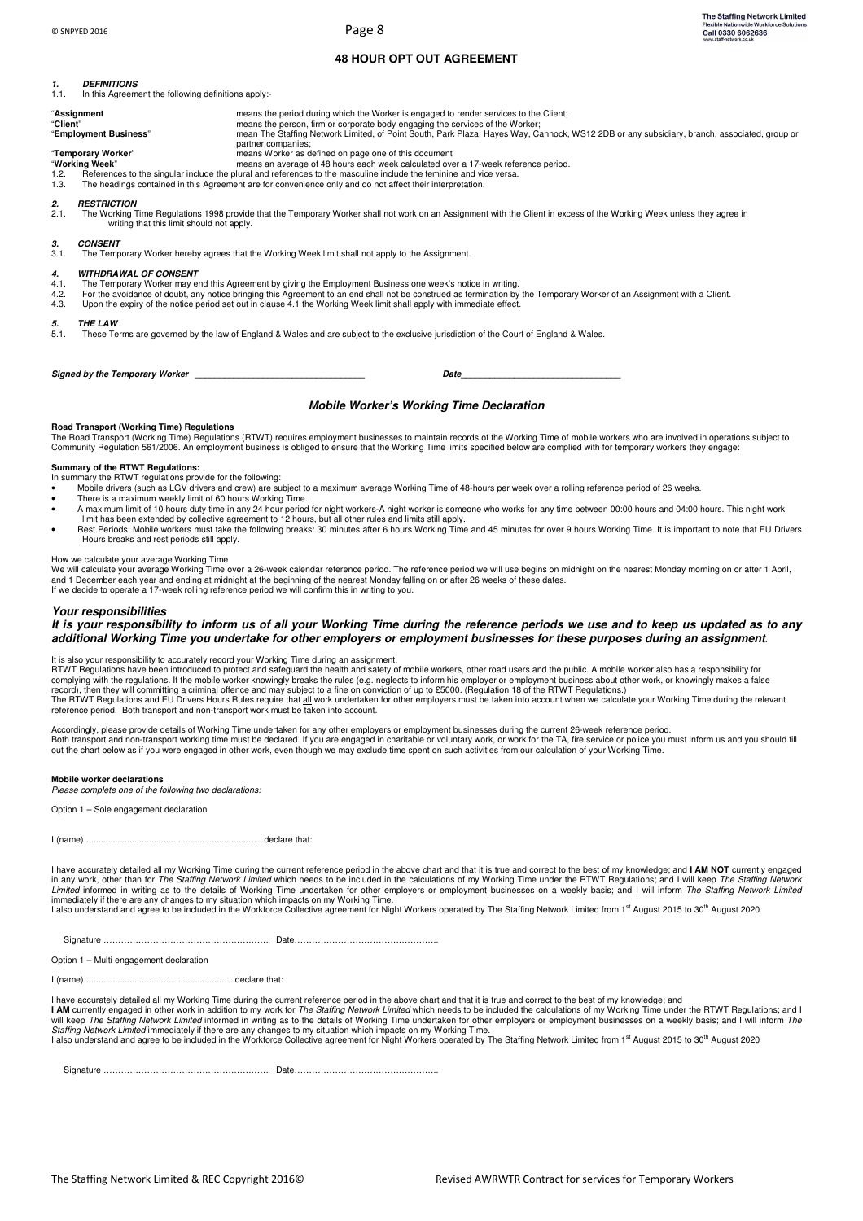# **48 HOUR OPT OUT AGREEMENT**

# **1. DEFINITIONS**

1.1. In this Agreement the following definitions apply:-

| .                                                    | - In this Agreement the following definitions apply                                                                                                                    |                                                                                                                                                                                                                                                                                                                                             |  |  |
|------------------------------------------------------|------------------------------------------------------------------------------------------------------------------------------------------------------------------------|---------------------------------------------------------------------------------------------------------------------------------------------------------------------------------------------------------------------------------------------------------------------------------------------------------------------------------------------|--|--|
| "Client"                                             | "Assignment<br>"Employment Business"                                                                                                                                   | means the period during which the Worker is engaged to render services to the Client;<br>means the person, firm or corporate body engaging the services of the Worker;<br>mean The Staffing Network Limited, of Point South, Park Plaza, Hayes Way, Cannock, WS12 2DB or any subsidiary, branch, associated, group or<br>partner companies; |  |  |
| "Temporary Worker"                                   |                                                                                                                                                                        | means Worker as defined on page one of this document                                                                                                                                                                                                                                                                                        |  |  |
| "Working Week"                                       |                                                                                                                                                                        | means an average of 48 hours each week calculated over a 17-week reference period.                                                                                                                                                                                                                                                          |  |  |
| 1.2.                                                 |                                                                                                                                                                        | References to the singular include the plural and references to the masculine include the feminine and vice versa.                                                                                                                                                                                                                          |  |  |
| 1.3.                                                 |                                                                                                                                                                        | The headings contained in this Agreement are for convenience only and do not affect their interpretation.                                                                                                                                                                                                                                   |  |  |
| 2.<br>2.1.                                           | <b>RESTRICTION</b><br>writing that this limit should not apply.                                                                                                        | The Working Time Regulations 1998 provide that the Temporary Worker shall not work on an Assignment with the Client in excess of the Working Week unless they agree in                                                                                                                                                                      |  |  |
| З.                                                   | <b>CONSENT</b>                                                                                                                                                         |                                                                                                                                                                                                                                                                                                                                             |  |  |
| 3.1.                                                 | The Temporary Worker hereby agrees that the Working Week limit shall not apply to the Assignment.                                                                      |                                                                                                                                                                                                                                                                                                                                             |  |  |
| 4.                                                   | <b>WITHDRAWAL OF CONSENT</b>                                                                                                                                           |                                                                                                                                                                                                                                                                                                                                             |  |  |
| 4.1.                                                 | The Temporary Worker may end this Agreement by giving the Employment Business one week's notice in writing.                                                            |                                                                                                                                                                                                                                                                                                                                             |  |  |
| 4.2.                                                 | For the avoidance of doubt, any notice bringing this Agreement to an end shall not be construed as termination by the Temporary Worker of an Assignment with a Client. |                                                                                                                                                                                                                                                                                                                                             |  |  |
| 4.3.                                                 | Upon the expiry of the notice period set out in clause 4.1 the Working Week limit shall apply with immediate effect.                                                   |                                                                                                                                                                                                                                                                                                                                             |  |  |
| 5.                                                   | <b>THE LAW</b>                                                                                                                                                         |                                                                                                                                                                                                                                                                                                                                             |  |  |
| 5.1.                                                 | These Terms are governed by the law of England & Wales and are subject to the exclusive jurisdiction of the Court of England & Wales.                                  |                                                                                                                                                                                                                                                                                                                                             |  |  |
| Date<br>the control of the control of the control of |                                                                                                                                                                        |                                                                                                                                                                                                                                                                                                                                             |  |  |

# **Mobile Worker's Working Time Declaration**

### **Road Transport (Working Time) Regulations**

The Road Transport (Working Time) Regulations (RTWT) requires employment businesses to maintain records of the Working Time of mobile workers who are involved in operations subject to Community Regulation 561/2006. An employment business is obliged to ensure that the Working Time limits specified below are complied with for temporary workers they engage:

## **Summary of the RTWT Regulations:**

In summary the RTWT regulations provide for the following:

- Mobile drivers (such as LGV drivers and crew) are subject to a maximum average Working Time of 48-hours per week over a rolling reference period of 26 weeks.
- 
- There is a maximum weekly limit of 60 hours Working Time.<br>- A maximum limit of 10 hours duty time in any 24 hour period for night workers-A night worker is someone who works for any time between 00:00 hours and 04:00 hours
- Hours breaks and rest periods still apply.

How we calculate your average Working Time<br>We will calculate your average Working Time over a 26-week calendar reference period. The reference period we will use begins on midnight on the nearest Monday morning on or after and 1 December each year and ending at midnight at the beginning of the nearest Monday falling on or after 26 weeks of these dates.<br>If we decide to operate a 17-week rolling reference period we will confirm this in writing

### **Your responsibilities**

## **It is your responsibility to inform us of all your Working Time during the reference periods we use and to keep us updated as to any additional Working Time you undertake for other employers or employment businesses for these purposes during an assignment**.

### It is also your responsibility to accurately record your Working Time during an assignment.

RTWT Regulations have been introduced to protect and safeguard the health and safety of mobile workers, other road users and the public. A mobile worker also has a responsibility for<br>complying with the regulations. If the The RTWT Regulations and EU Drivers Hours Rules require that all work undertaken for other employers must be taken into account when we calculate your Working Time during the relevant reference period. Both transport and non-transport work must be taken into account.

Accordingly, please provide details of Working Time undertaken for any other employers or employment businesses during the current 26-week reference period. Both transport and non-transport working time must be declared. If you are engaged in charitable or voluntary work, or work for the TA, fire service or police you must inform us and you should fill<br>out the chart below as i

## **Mobile worker declarations**

*Please complete one of the following two declarations:* 

Option 1 – Sole engagement declaration

|--|--|

I have accurately detailed all my Working Time during the current reference period in the above chart and that it is true and correct to the best of my knowledge; and **I AM NOT** currently engaged<br>in any work, other than fo *Limited* informed in writing as to the details of Working Time undertaken for other employers or employment businesses on a weekly basis; and I will inform *The Staffing Network Limited*<br>immediately if there are any chang

I also understand and agree to be included in the Workforce Collective agreement for Night Workers operated by The Staffing Network Limited from 1<sup>st</sup> August 2015 to 30<sup>th</sup> August 2020

Option 1 – Multi engagement declaration

I (name) ........................................................…..declare that:

I have accurately detailed all my Working Time during the current reference period in the above chart and that it is true and correct to the best of my knowledge; and<br>**I AM** currently engaged in other work in addition to m will keep *The Staffing Network Limited* informed in writing as to the details of Working Time undertaken for other employers or employment businesses on a weekly basis; and I will inform *The*<br>*Staffing Network Limited* i

Signature ………………………………………………… Date…………………………………………..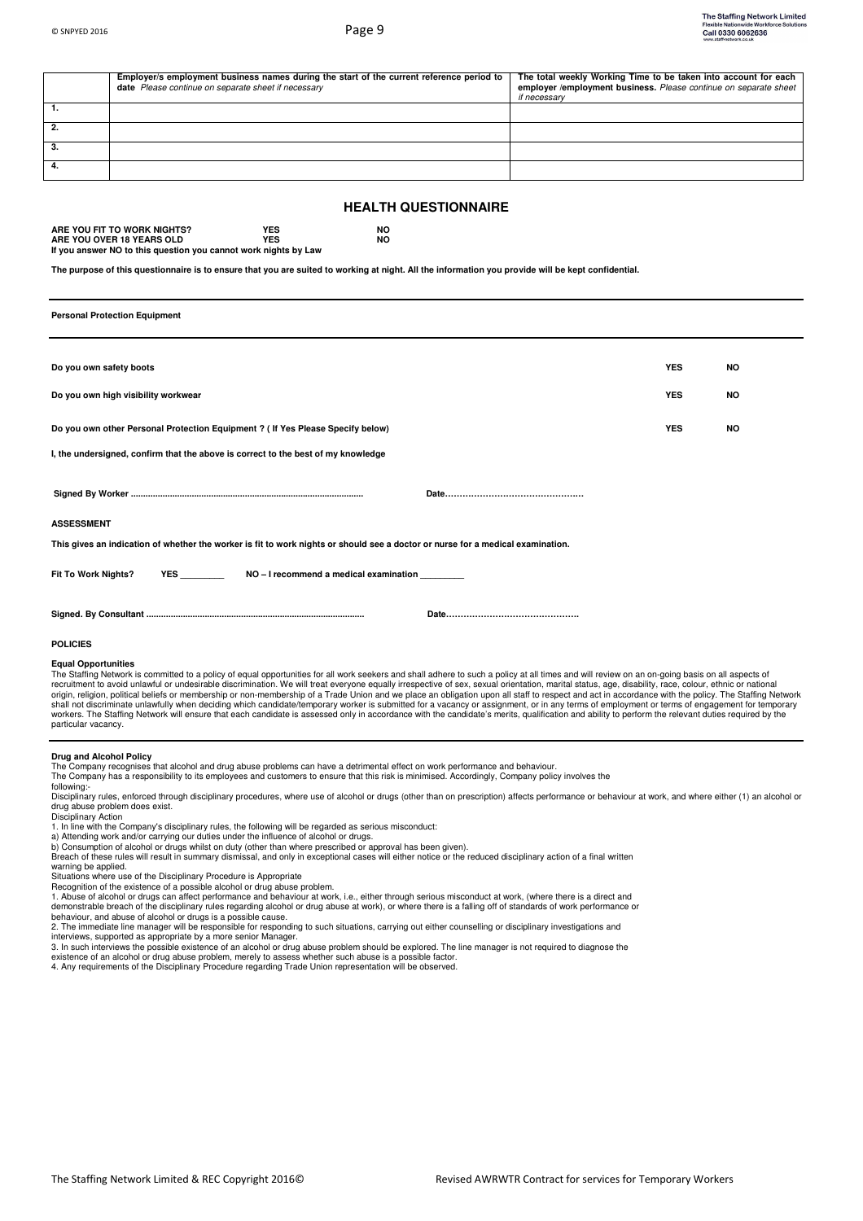|                                                                                                                                                                                   | Employer/s employment business names during the start of the current reference period to<br>date Please continue on separate sheet if necessary | The total weekly Working Time to be taken into account for each<br>employer /employment business. Please continue on separate sheet<br>if necessary |
|-----------------------------------------------------------------------------------------------------------------------------------------------------------------------------------|-------------------------------------------------------------------------------------------------------------------------------------------------|-----------------------------------------------------------------------------------------------------------------------------------------------------|
| $\overline{1}$ .                                                                                                                                                                  |                                                                                                                                                 |                                                                                                                                                     |
| 2.                                                                                                                                                                                |                                                                                                                                                 |                                                                                                                                                     |
| 3.                                                                                                                                                                                |                                                                                                                                                 |                                                                                                                                                     |
| 4.                                                                                                                                                                                |                                                                                                                                                 |                                                                                                                                                     |
| <b>HEALTH QUESTIONNAIRE</b>                                                                                                                                                       |                                                                                                                                                 |                                                                                                                                                     |
| ARE YOU FIT TO WORK NIGHTS?<br><b>YES</b><br><b>NO</b><br><b>YES</b><br><b>NO</b><br>ARE YOU OVER 18 YEARS OLD<br>If you answer NO to this question you cannot work nights by Law |                                                                                                                                                 |                                                                                                                                                     |
| The purpose of this questionnaire is to ensure that you are suited to working at night. All the information you provide will be kept confidential.                                |                                                                                                                                                 |                                                                                                                                                     |
| <b>Personal Protection Equipment</b>                                                                                                                                              |                                                                                                                                                 |                                                                                                                                                     |
|                                                                                                                                                                                   |                                                                                                                                                 |                                                                                                                                                     |
| Do you own safety boots                                                                                                                                                           |                                                                                                                                                 | <b>YES</b><br>NO                                                                                                                                    |
|                                                                                                                                                                                   | Do you own high visibility workwear                                                                                                             | <b>YES</b><br>NO                                                                                                                                    |
| Do you own other Personal Protection Equipment ? ( If Yes Please Specify below)                                                                                                   |                                                                                                                                                 | <b>YES</b><br><b>NO</b>                                                                                                                             |
| I, the undersigned, confirm that the above is correct to the best of my knowledge                                                                                                 |                                                                                                                                                 |                                                                                                                                                     |
|                                                                                                                                                                                   |                                                                                                                                                 |                                                                                                                                                     |
|                                                                                                                                                                                   |                                                                                                                                                 |                                                                                                                                                     |
| <b>ASSESSMENT</b>                                                                                                                                                                 |                                                                                                                                                 |                                                                                                                                                     |
| This gives an indication of whether the worker is fit to work nights or should see a doctor or nurse for a medical examination.                                                   |                                                                                                                                                 |                                                                                                                                                     |
| Fit To Work Nights?<br>NO - I recommend a medical examination<br><b>YES</b>                                                                                                       |                                                                                                                                                 |                                                                                                                                                     |
|                                                                                                                                                                                   |                                                                                                                                                 |                                                                                                                                                     |
| <b>POLICIES</b>                                                                                                                                                                   |                                                                                                                                                 |                                                                                                                                                     |

#### **Equal Opportunities**

The Staffing Network is committed to a policy of equal opportunities for all work seekers and shall adhere to such a policy at all times and will review on an on-going basis on all aspects of<br>recruitment to avoid unlawful origin, religion, political beliefs or membership or non-membership of a Trade Union and we place an obligation upon all staff to respect and act in accordance with the policy. The Staffing Network<br>shall not discriminate u workers. The Staffing Network will ensure that each candidate is assessed only in accordance with the candidate's merits, qualification and ability to perform the relevant duties required by the particular vacancy.

### **Drug and Alcohol Policy**

The Company recognises that alcohol and drug abuse problems can have a detrimental effect on work performance and behaviour.

The Company has a responsibility to its employees and customers to ensure that this risk is minimised. Accordingly, Company policy involves the following:-

Disciplinary rules, enforced through disciplinary procedures, where use of alcohol or drugs (other than on prescription) affects performance or behaviour at work, and where either (1) an alcohol or drug abuse problem does exist. Disciplinary Action 1. In line with the Company's disciplinary rules, the following will be regarded as serious misconduct:

- 
- a) Attending work and/or carrying our duties under the influence of alcohol or drugs. b) Consumption of alcohol or drugs whilst on duty (other than where prescribed or approval has been given).
- Breach of these rules will result in summary dismissal, and only in exceptional cases will either notice or the reduced disciplinary action of a final written

warning be applied.

Situations where use of the Disciplinary Procedure is Appropriate

Recognition of the existence of a possible alcohol or drug abuse problem.

1. Abuse of alcohol or drugs can affect performance and behaviour at work, i.e., either through serious misconduct at work, (where there is a direct and<br>demonstrable breach of the disciplinary rules regarding alcohol or dr

3. In such interviews the possible existence of an alcohol or drug abuse problem should be explored. The line manager is not required to diagnose the<br>existence of an alcohol or drug abuse problem, merely to assess whether

4. Any requirements of the Disciplinary Procedure regarding Trade Union representation will be observed.